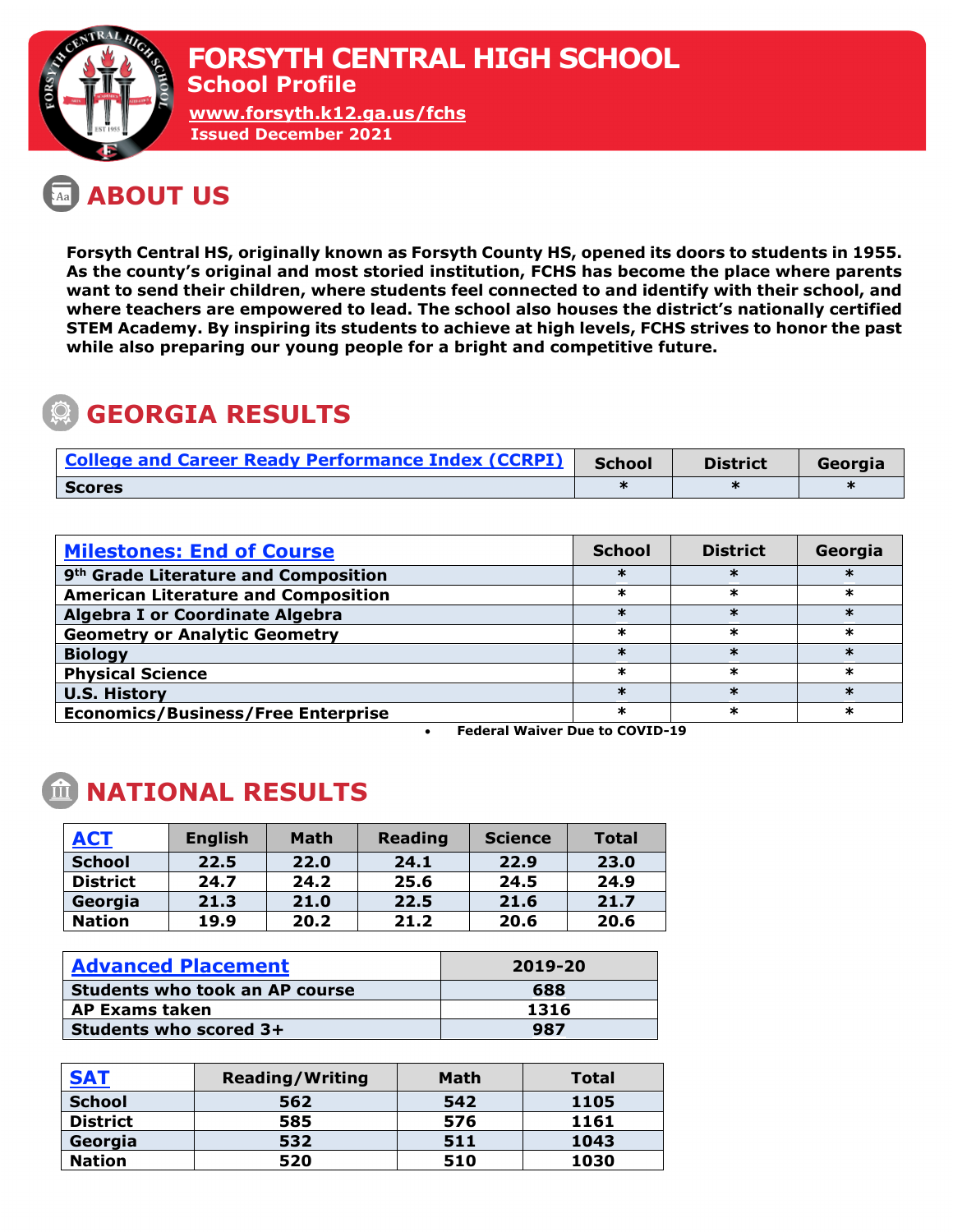

## **ABOUT US**

**Forsyth Central HS, originally known as Forsyth County HS, opened its doors to students in 1955. As the county's original and most storied institution, FCHS has become the place where parents want to send their children, where students feel connected to and identify with their school, and where teachers are empowered to lead. The school also houses the district's nationally certified STEM Academy. By inspiring its students to achieve at high levels, FCHS strives to honor the past while also preparing our young people for a bright and competitive future.** 

# **GEORGIA RESULTS**

| <b>College and Career Ready Performance Index (CCRPI)</b> | <b>School</b> | <b>District</b> | Georgia |
|-----------------------------------------------------------|---------------|-----------------|---------|
| <b>Scores</b>                                             |               |                 |         |

| <b>Milestones: End of Course</b>                 | <b>School</b> | <b>District</b> | Georgia |
|--------------------------------------------------|---------------|-----------------|---------|
| 9 <sup>th</sup> Grade Literature and Composition |               |                 |         |
| <b>American Literature and Composition</b>       | ж             | ж               | ж       |
| <b>Algebra I or Coordinate Algebra</b>           |               |                 |         |
| <b>Geometry or Analytic Geometry</b>             | ж             | ж               | ж       |
| <b>Biology</b>                                   | ж             | ж               | ж       |
| <b>Physical Science</b>                          | ж             | ж               | ж       |
| <b>U.S. History</b>                              |               |                 |         |
| <b>Economics/Business/Free Enterprise</b>        | ∗             |                 |         |

• **Federal Waiver Due to COVID-19**

### **NATIONAL RESULTS**

| <b>ACT</b>      | <b>English</b> | <b>Math</b> | <b>Reading</b> | <b>Science</b> | <b>Total</b> |
|-----------------|----------------|-------------|----------------|----------------|--------------|
| <b>School</b>   | 22.5           | 22.0        | 24.1           | 22.9           | 23.0         |
| <b>District</b> | 24.7           | 24.2        | 25.6           | 24.5           | 24.9         |
| Georgia         | 21.3           | 21.0        | 22.5           | 21.6           | 21.7         |
| <b>Nation</b>   | 19.9           | 20.2        | 21.2           | 20.6           | 20.6         |

| <b>Advanced Placement</b>             | 2019-20 |  |  |
|---------------------------------------|---------|--|--|
| <b>Students who took an AP course</b> | 688     |  |  |
| <b>AP Exams taken</b>                 | 1316    |  |  |
| Students who scored 3+                | 987     |  |  |

| <b>SAT</b>      | <b>Reading/Writing</b> | <b>Math</b> | Total |
|-----------------|------------------------|-------------|-------|
| <b>School</b>   | 562                    | 542         | 1105  |
| <b>District</b> | 585                    | 576         | 1161  |
| Georgia         | 532                    | 511         | 1043  |
| <b>Nation</b>   | 520                    | 510         | 1030  |